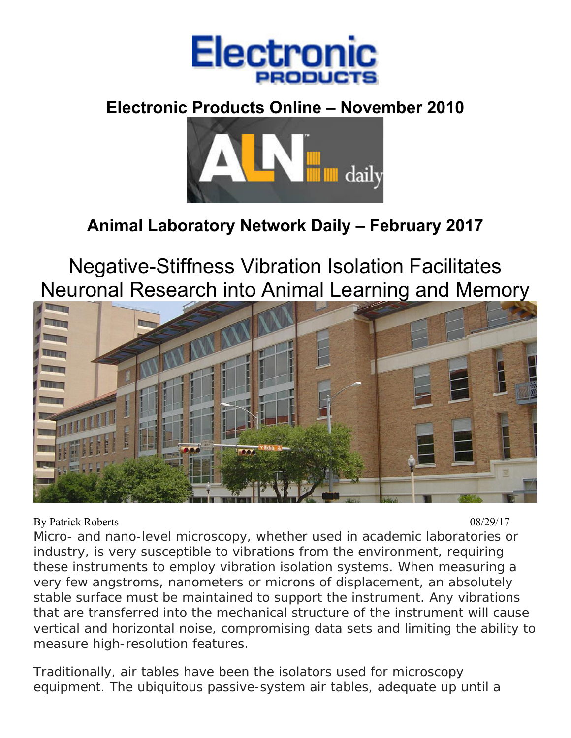

## **Electronic Products Online – November 2010**



# **Animal Laboratory Network Daily – February 2017**

Negative-Stiffness Vibration Isolation Facilitates Neuronal Research into Animal Learning and Memory



By Patrick Roberts 08/29/17

Micro- and nano-level microscopy, whether used in academic laboratories or industry, is very susceptible to vibrations from the environment, requiring these instruments to employ vibration isolation systems. When measuring a very few angstroms, nanometers or microns of displacement, an absolutely stable surface must be maintained to support the instrument. Any vibrations that are transferred into the mechanical structure of the instrument will cause vertical and horizontal noise, compromising data sets and limiting the ability to measure high-resolution features.

Traditionally, air tables have been the isolators used for microscopy equipment. The ubiquitous passive-system air tables, adequate up until a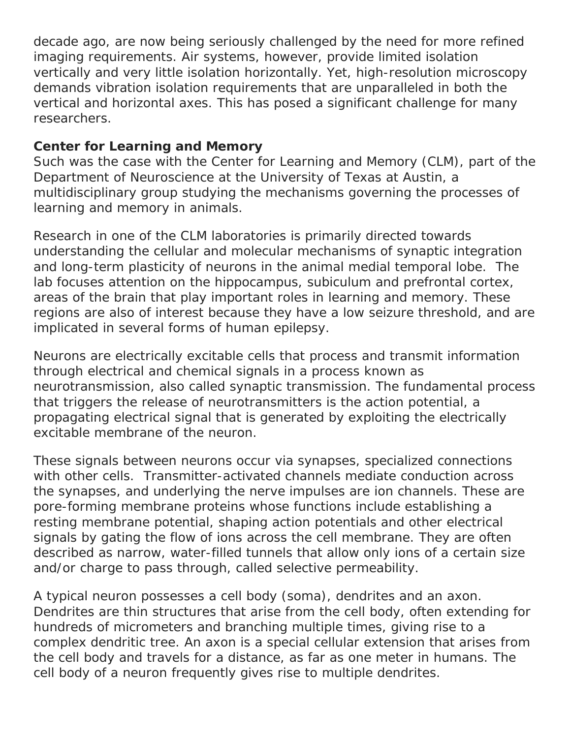decade ago, are now being seriously challenged by the need for more refined imaging requirements. Air systems, however, provide limited isolation vertically and very little isolation horizontally. Yet, high-resolution microscopy demands vibration isolation requirements that are unparalleled in both the vertical and horizontal axes. This has posed a significant challenge for many researchers.

#### **Center for Learning and Memory**

Such was the case with the Center for Learning and Memory (CLM), part of the Department of Neuroscience at the University of Texas at Austin, a multidisciplinary group studying the mechanisms governing the processes of learning and memory in animals.

Research in one of the CLM laboratories is primarily directed towards understanding the cellular and molecular mechanisms of synaptic integration and long-term plasticity of neurons in the animal medial temporal lobe. The lab focuses attention on the hippocampus, subiculum and prefrontal cortex, areas of the brain that play important roles in learning and memory. These regions are also of interest because they have a low seizure threshold, and are implicated in several forms of human epilepsy.

Neurons are electrically excitable cells that process and transmit information through electrical and chemical signals in a process known as neurotransmission, also called synaptic transmission. The fundamental process that triggers the release of neurotransmitters is the action potential, a propagating electrical signal that is generated by exploiting the electrically excitable membrane of the neuron.

These signals between neurons occur via synapses, specialized connections with other cells. Transmitter-activated channels mediate conduction across the synapses, and underlying the nerve impulses are ion channels. These are pore-forming membrane proteins whose functions include establishing a resting membrane potential, shaping action potentials and other electrical signals by gating the flow of ions across the cell membrane. They are often described as narrow, water-filled tunnels that allow only ions of a certain size and/or charge to pass through, called selective permeability.

A typical neuron possesses a cell body (soma), dendrites and an axon. Dendrites are thin structures that arise from the cell body, often extending for hundreds of micrometers and branching multiple times, giving rise to a complex dendritic tree. An axon is a special cellular extension that arises from the cell body and travels for a distance, as far as one meter in humans. The cell body of a neuron frequently gives rise to multiple dendrites.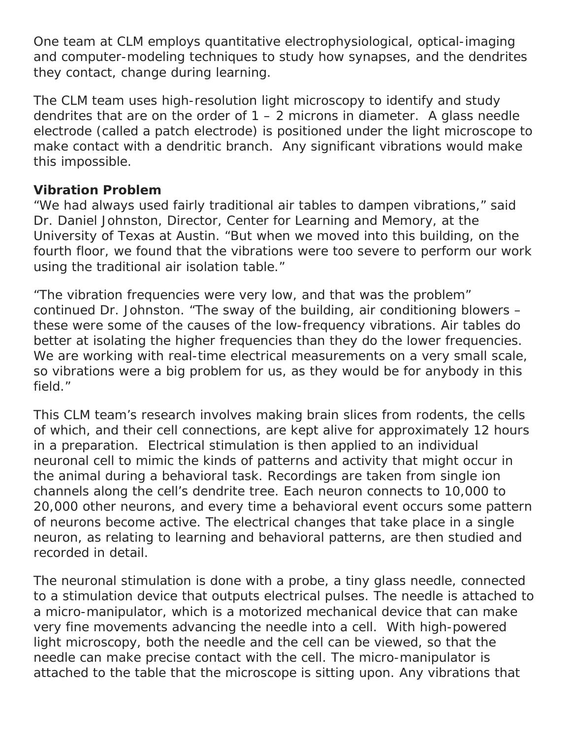One team at CLM employs quantitative electrophysiological, optical-imaging and computer-modeling techniques to study how synapses, and the dendrites they contact, change during learning.

The CLM team uses high-resolution light microscopy to identify and study dendrites that are on the order of  $1 - 2$  microns in diameter. A glass needle electrode (called a patch electrode) is positioned under the light microscope to make contact with a dendritic branch. Any significant vibrations would make this impossible.

## **Vibration Problem**

"We had always used fairly traditional air tables to dampen vibrations," said Dr. Daniel Johnston, Director, Center for Learning and Memory, at the University of Texas at Austin. "But when we moved into this building, on the fourth floor, we found that the vibrations were too severe to perform our work using the traditional air isolation table."

"The vibration frequencies were very low, and that was the problem" continued Dr. Johnston. "The sway of the building, air conditioning blowers – these were some of the causes of the low-frequency vibrations. Air tables do better at isolating the higher frequencies than they do the lower frequencies. We are working with real-time electrical measurements on a very small scale, so vibrations were a big problem for us, as they would be for anybody in this field."

This CLM team's research involves making brain slices from rodents, the cells of which, and their cell connections, are kept alive for approximately 12 hours in a preparation. Electrical stimulation is then applied to an individual neuronal cell to mimic the kinds of patterns and activity that might occur in the animal during a behavioral task. Recordings are taken from single ion channels along the cell's dendrite tree. Each neuron connects to 10,000 to 20,000 other neurons, and every time a behavioral event occurs some pattern of neurons become active. The electrical changes that take place in a single neuron, as relating to learning and behavioral patterns, are then studied and recorded in detail.

The neuronal stimulation is done with a probe, a tiny glass needle, connected to a stimulation device that outputs electrical pulses. The needle is attached to a micro-manipulator, which is a motorized mechanical device that can make very fine movements advancing the needle into a cell. With high-powered light microscopy, both the needle and the cell can be viewed, so that the needle can make precise contact with the cell. The micro-manipulator is attached to the table that the microscope is sitting upon. Any vibrations that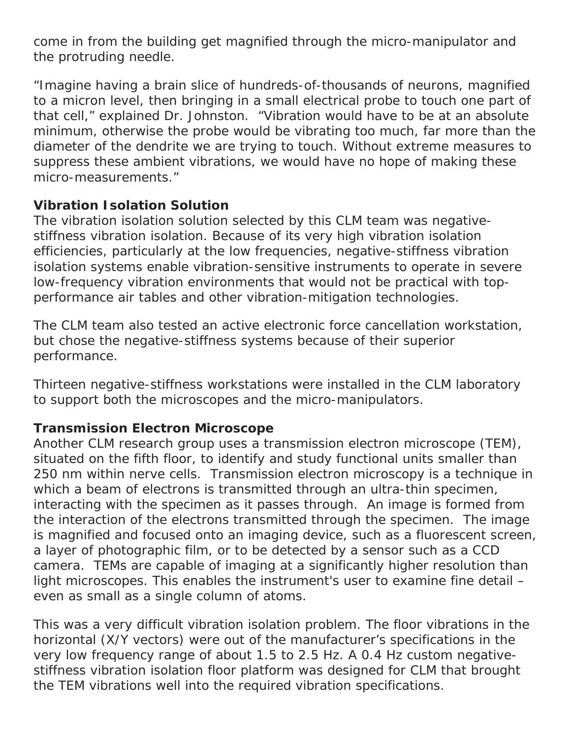come in from the building get magnified through the micro-manipulator and the protruding needle.

"Imagine having a brain slice of hundreds-of-thousands of neurons, magnified to a micron level, then bringing in a small electrical probe to touch one part of that cell," explained Dr. Johnston. "Vibration would have to be at an absolute minimum, otherwise the probe would be vibrating too much, far more than the diameter of the dendrite we are trying to touch. Without extreme measures to suppress these ambient vibrations, we would have no hope of making these micro-measurements."

#### **Vibration Isolation Solution**

The vibration isolation solution selected by this CLM team was negativestiffness vibration isolation. Because of its very high vibration isolation efficiencies, particularly at the low frequencies, negative-stiffness vibration isolation systems enable vibration-sensitive instruments to operate in severe low-frequency vibration environments that would not be practical with topperformance air tables and other vibration-mitigation technologies.

The CLM team also tested an active electronic force cancellation workstation, but chose the negative-stiffness systems because of their superior performance.

Thirteen negative-stiffness workstations were installed in the CLM laboratory to support both the microscopes and the micro-manipulators.

#### **Transmission Electron Microscope**

Another CLM research group uses a transmission electron microscope (TEM), situated on the fifth floor, to identify and study functional units smaller than 250 nm within nerve cells. Transmission electron microscopy is a technique in which a beam of electrons is transmitted through an ultra-thin specimen, interacting with the specimen as it passes through. An image is formed from the interaction of the electrons transmitted through the specimen. The image is magnified and focused onto an imaging device, such as a fluorescent screen, a layer of photographic film, or to be detected by a sensor such as a CCD camera. TEMs are capable of imaging at a significantly higher resolution than light microscopes. This enables the instrument's user to examine fine detail – even as small as a single column of atoms.

This was a very difficult vibration isolation problem. The floor vibrations in the horizontal (X/Y vectors) were out of the manufacturer's specifications in the very low frequency range of about 1.5 to 2.5 Hz. A 0.4 Hz custom negativestiffness vibration isolation floor platform was designed for CLM that brought the TEM vibrations well into the required vibration specifications.